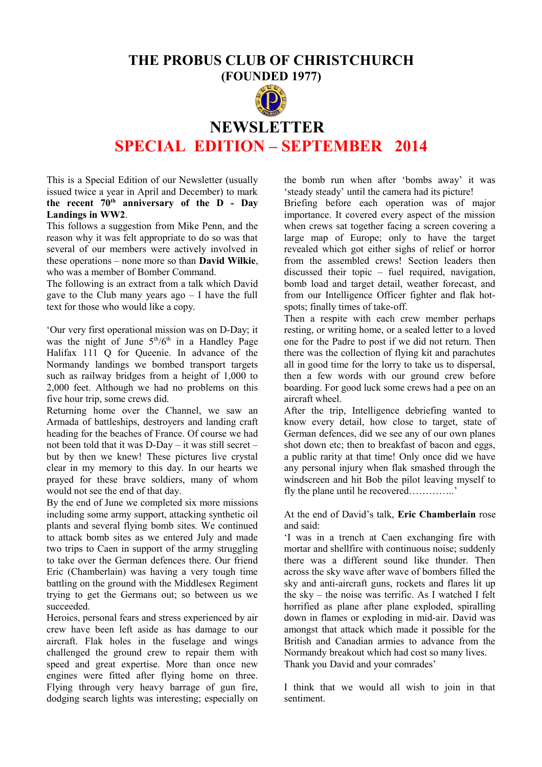## **THE PROBUS CLUB OF CHRISTCHURCH**

**(FOUNDED 1977)**



# **NEWSLETTER SPECIAL EDITION – SEPTEMBER 2014**

This is a Special Edition of our Newsletter (usually issued twice a year in April and December) to mark **the recent 70th anniversary of the D - Day Landings in WW2**.

This follows a suggestion from Mike Penn, and the reason why it was felt appropriate to do so was that several of our members were actively involved in these operations – none more so than **David Wilkie**, who was a member of Bomber Command.

The following is an extract from a talk which David gave to the Club many years  $ago - I$  have the full text for those who would like a copy.

'Our very first operational mission was on D-Day; it was the night of June  $5<sup>th</sup>/6<sup>th</sup>$  in a Handley Page Halifax 111 Q for Queenie. In advance of the Normandy landings we bombed transport targets such as railway bridges from a height of 1,000 to 2,000 feet. Although we had no problems on this five hour trip, some crews did.

Returning home over the Channel, we saw an Armada of battleships, destroyers and landing craft heading for the beaches of France. Of course we had not been told that it was D-Day – it was still secret – but by then we knew! These pictures live crystal clear in my memory to this day. In our hearts we prayed for these brave soldiers, many of whom would not see the end of that day.

By the end of June we completed six more missions including some army support, attacking synthetic oil plants and several flying bomb sites. We continued to attack bomb sites as we entered July and made two trips to Caen in support of the army struggling to take over the German defences there. Our friend Eric (Chamberlain) was having a very tough time battling on the ground with the Middlesex Regiment trying to get the Germans out; so between us we succeeded.

Heroics, personal fears and stress experienced by air crew have been left aside as has damage to our aircraft. Flak holes in the fuselage and wings challenged the ground crew to repair them with speed and great expertise. More than once new engines were fitted after flying home on three. Flying through very heavy barrage of gun fire, dodging search lights was interesting; especially on

the bomb run when after 'bombs away' it was 'steady steady' until the camera had its picture!

Briefing before each operation was of major importance. It covered every aspect of the mission when crews sat together facing a screen covering a large map of Europe; only to have the target revealed which got either sighs of relief or horror from the assembled crews! Section leaders then discussed their topic – fuel required, navigation, bomb load and target detail, weather forecast, and from our Intelligence Officer fighter and flak hotspots; finally times of take-off.

Then a respite with each crew member perhaps resting, or writing home, or a sealed letter to a loved one for the Padre to post if we did not return. Then there was the collection of flying kit and parachutes all in good time for the lorry to take us to dispersal, then a few words with our ground crew before boarding. For good luck some crews had a pee on an aircraft wheel.

After the trip, Intelligence debriefing wanted to know every detail, how close to target, state of German defences, did we see any of our own planes shot down etc; then to breakfast of bacon and eggs, a public rarity at that time! Only once did we have any personal injury when flak smashed through the windscreen and hit Bob the pilot leaving myself to fly the plane until he recovered…………..'

At the end of David's talk, **Eric Chamberlain** rose and said:

'I was in a trench at Caen exchanging fire with mortar and shellfire with continuous noise; suddenly there was a different sound like thunder. Then across the sky wave after wave of bombers filled the sky and anti-aircraft guns, rockets and flares lit up the sky – the noise was terrific. As I watched I felt horrified as plane after plane exploded, spiralling down in flames or exploding in mid-air. David was amongst that attack which made it possible for the British and Canadian armies to advance from the Normandy breakout which had cost so many lives. Thank you David and your comrades'

I think that we would all wish to join in that sentiment.